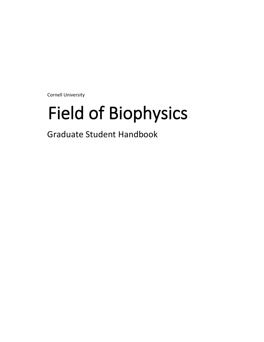Cornell University

# Field of Biophysics

Graduate Student Handbook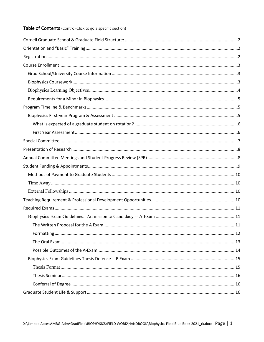# Table of Contents (Control-Click to go a specific section)

<span id="page-1-0"></span>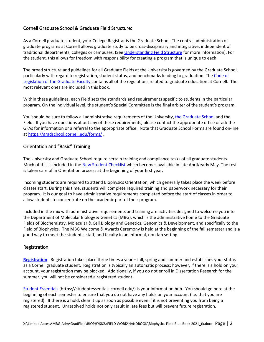# Cornell Graduate School & Graduate Field Structure**:**

As a Cornell graduate student, your College Registrar is the Graduate School. The central administration of graduate programs at Cornell allows graduate study to be cross-disciplinary and integrative, independent of traditional departments, colleges or campuses. (See [Understanding Field Structure](https://gradschool.cornell.edu/admissions/degrees-fields/understanding-the-field-structure/) for more information). For the student, this allows for freedom with responsibility for creating a program that is unique to each.

The broad structure and guidelines for all Graduate Fields at the University is governed by the Graduate School, particularly with regard to registration, student status, and benchmarks leading to graduation. The Code of [Legislation of the Graduate Faculty](https://gradschool.cornell.edu/policies/#results) contains all of the regulations related to graduate education at Cornell. The most relevant ones are included in this book.

Within these guidelines, each Field sets the standards and requirements specific to students in the particular program. On the individual level, the student's Special Committee is the final arbiter of the student's program.

You should be sure to follow all administrative requirements of the University, the Graduate School and the Field. If you have questions about any of these requirements, please contact the appropriate office or ask the GFAs for information or a referral to the appropriate office. Note that Graduate School Forms are found on-line at<https://gradschool.cornell.edu/forms/> .

# <span id="page-2-0"></span>Orientation and "Basic" Training

The University and Graduate School require certain training and compliance tasks of all graduate students. Much of this is included in the [New Student Checklist](https://newstudents.cornell.edu/) which becomes available in late April/early May. The rest is taken care of in Orientation process at the beginning of your first year.

Incoming students are required to attend Biophysics Orientation, which generally takes place the week before classes start. During this time, students will complete required training and paperwork necessary for their program. It is our goal to have administrative requirements completed before the start of classes in order to allow students to concentrate on the academic part of their program.

Included in the mix with administrative requirements and training are activities designed to welcome you into the Department of Molecular Biology & Genetics (MBG), which is the administrative home to the Graduate Fields of Biochemistry, Molecular & Cell Biology and Genetics, Genomics & Development, and specifically to the Field of Biophysics. The MBG Welcome & Awards Ceremony is held at the beginning of the fall semester and is a good way to meet the students, staff, and faculty in an informal, non-lab setting.

## <span id="page-2-1"></span>Registration

**[Registration](http://gradschool.cornell.edu/academics/requirements/registration)**: Registration takes place three times a year – fall, spring and summer and establishes your status as a Cornell graduate student. Registration is typically an automatic process; however, if there is a hold on your account, your registration may be blocked. Additionally, if you do not enroll in Dissertation Research for the summer, you will not be considered a registered student.

[Student Essentials](https://studentessentials.cornell.edu/) (https://studentessentials.cornell.edu/) is your information hub. You should go here at the beginning of each semester to ensure that you do not have any holds on your account (i.e. that you are registered). If there is a hold, clear it up as soon as possible even if it is not preventing you from being a registered student. Unresolved holds not only result in late fees but will prevent future registration.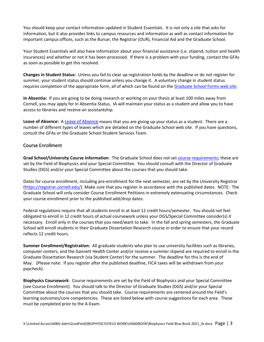You should keep your contact information updated in Student Essentials. It is not only a site that asks for information, but it also provides links to campus resources and information as well as contact information for important campus offices, such as the Bursar, the Registrar (OUR), Financial Aid and the Graduate School.

Your Student Essentials will also have information about your financial assistance (i.e. stipend, tuition and health insurances) and whether or not it has been processed. If there is a problem with your funding, contact the GFAs as soon as possible to get this resolved.

**Changes in Student Status:** Unless you fail to clear up registration holds by the deadline or do not register for summer, your student status should continue unless you change it. A voluntary change in student status requires completion of the appropriate form, all of which can be found on the [Graduate School Forms web site.](https://gradschool.cornell.edu/forms/)

**In Absentia:** If you are going to be doing research or working on your thesis at least 100 miles away from Cornell, you may apply for In Absentia Status. IA will maintain your status as a student and allow you to have access to libraries and receive an assistantship.

**Leave of Absence:** A [Leave of Absence](https://gradschool.cornell.edu/policies/leaves-of-absence/) means that you are giving up your status as a student. There are a number of different types of leaves which are detailed on the Graduate School web site. If you have questions, consult the GFAs or the Graduate School Student Services Team.

# <span id="page-3-1"></span><span id="page-3-0"></span>Course Enrollment

**Grad School/University Course Information**: The Graduate School does not se[t course requirements;](https://gradschool.cornell.edu/academic-progress/requirements-milestones/course-enrollment/) these are set by the Field of Biophysics and your Special Committee. You should consult with the Director of Graduate Studies (DGS) and/or your Special Committee about the courses that you should take.

Dates for course enrollment, including pre-enrollment for the next semester, are set by the University Registrar [\(https://registrar.cornell.edu/\)](https://registrar.cornell.edu/). Make sure that you register in accordance with the published dates. NOTE: The Graduate School will only consider Course Enrollment Petitions in extremely extenuating circumstances. Check your course enrollment prior to the published add/drop dates.

Federal regulations require that all students enroll in at least 12 credit hours/semester. You should not feel obligated to enroll in 12 credit hours of actual coursework unless your DGS/Special Committee consider(s) it necessary. Enroll only in the courses that you need/want to take. In the fall and spring semesters, the Graduate School will enroll students in their Graduate Dissertation Research course in order to ensure that your record reflects 12 credit hours.

**Summer Enrollment/Registration:** All graduate students who plan to use university facilities such as libraries, computer centers, and the Gannett Health Center and/or receive a summer stipend are required to enroll in the Graduate Dissertation Research (via Student Center) for the summer. The deadline for this is the end of May. (Please note: If you register after the published deadline, FICA taxes will be withdrawn from your paycheck).

<span id="page-3-2"></span>**Biophysics Coursework**: Course requirements are set by the Field of Biophysics and your Special Committee (see Course Enrollment). You should talk to the Director of Graduate Studies (DGS) and/or your Special Committee about the courses that you should take. Course requirements are centered around the Field's learning outcomes/core competencies. These are listed below with course suggestions for each area. These must be completed prior to the A-Exam.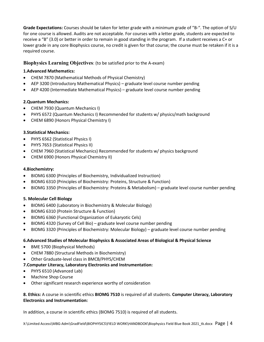**Grade Expectations:** Courses should be taken for letter grade with a minimum grade of "B-". The option of S/U for one course is allowed. Audits are not acceptable. For courses with a letter grade, students are expected to receive a "B" (3.0) or better in order to remain in good standing in the program. If a student receives a C+ or lower grade in any core Biophysics course, no credit is given for that course; the course must be retaken if it is a required course.

# <span id="page-4-0"></span>**Biophysics Learning Objectives**: (to be satisfied prior to the A-exam)

# **1.Advanced Mathematics:**

- CHEM 7870 (Mathematical Methods of Physical Chemistry)
- AEP 3200 (Introductory Mathematical Physics) graduate level course number pending
- AEP 4200 (Intermediate Mathematical Physics) graduate level course number pending

# **2.Quantum Mechanics:**

- CHEM 7930 (Quantum Mechanics I)
- PHYS 6572 (Quantum Mechanics I) Recommended for students w/ physics/math background
- CHEM 6890 (Honors Physical Chemistry I)

## **3.Statistical Mechanics:**

- PHYS 6562 (Statistical Physics I)
- PHYS 7653 (Statistical Physics II)
- CHEM 7960 (Statistical Mechanics) Recommended for students w/ physics background
- CHEM 6900 (Honors Physical Chemistry II)

# **4.Biochemistry:**

- BIOMG 6300 (Principles of Biochemistry, Individualized Instruction)
- BIOMG 6310 (Principles of Biochemistry: Proteins, Structure & Function)
- BIOMG 3350 (Principles of Biochemistry: Proteins & Metabolism) graduate level course number pending

# **5. Molecular Cell Biology**

- BIOMG 6400 (Laboratory in Biochemistry & Molecular Biology)
- BIOMG 6310 (Protein Structure & Function)
- BIOMG 6360 (Functional Organization of Eukaryotic Cels)
- BIOMG 4320 (Survey of Cell Bio) graduate level course number pending
- BIOMG 3320 (Principles of Biochemistry: Molecular Biology) graduate level course number pending

## **6.Advanced Studies of Molecular Biophysics & Associated Areas of Biological & Physical Science**

- BME 5700 (Biophysical Methods)
- CHEM 7880 (Structural Methods in Biochemistry)
- Other Graduate-level class in BMCB/PHYS/CHEM

## **7.Computer Literacy, Laboratory Electronics and Instrumentation:**

- PHYS 6510 (Advanced Lab)
- Machine Shop Course
- Other significant research experience worthy of consideration

# **8. Ethics:** A course in scientific ethics **BIOMG 7510** is required of all students. **Computer Literacy, Laboratory Electronics and Instrumentation:**

In addition, a course in scientific ethics (BIOMG 7510) is required of all students.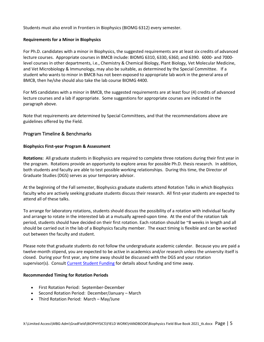<span id="page-5-0"></span>Students must also enroll in Frontiers in Biophysics (BIOMG 6312) every semester.

## **Requirements for a Minor in Biophysics**

For Ph.D. candidates with a minor in Biophysics, the suggested requirements are at least six credits of advanced lecture courses. Appropriate courses in BMCB include: BIOMG 6310, 6330, 6360, and 6390. 6000- and 7000 level courses in other departments, i.e., Chemistry & Chemical Biology, Plant Biology, Vet Molecular Medicine, and Vet Microbiology & Immunology, may also be suitable, as determined by the Special Committee. If a student who wants to minor in BMCB has not been exposed to appropriate lab work in the general area of BMCB, then he/she should also take the lab course BIOMG 4400.

For MS candidates with a minor in BMCB, the suggested requirements are at least four (4) credits of advanced lecture courses and a lab if appropriate. Some suggestions for appropriate courses are indicated in the paragraph above.

Note that requirements are determined by Special Committees, and that the recommendations above are guidelines offered by the Field.

# <span id="page-5-2"></span><span id="page-5-1"></span>Program Timeline & Benchmarks

#### **Biophysics First-year Program & Assessment**

**Rotations:** All graduate students in Biophysics are required to complete three rotations during their first year in the program. Rotations provide an opportunity to explore areas for possible Ph.D. thesis research. In addition, both students and faculty are able to test possible working relationships. During this time, the Director of Graduate Studies (DGS) serves as your temporary advisor.

At the beginning of the Fall semester, Biophysics graduate students attend Rotation Talks in which Biophysics faculty who are actively seeking graduate students discuss their research. All first-year students are expected to attend all of these talks.

To arrange for laboratory rotations, students should discuss the possibility of a rotation with individual faculty and arrange to rotate in the interested lab at a mutually agreed-upon time. At the end of the rotation talk period, students should have decided on their first rotation. Each rotation should be ~8 weeks in length and all should be carried out in the lab of a Biophysics faculty member. The exact timing is flexible and can be worked out between the faculty and student.

Please note that graduate students do not follow the undergraduate academic calendar. Because you are paid a twelve-month stipend, you are expected to be active in academics and/or research unless the university itself is closed. During your first year, any time away should be discussed with the DGS and your rotation supervisor(s). Consul[t Current Student Funding](https://biophysics.cornell.edu/graduate-students/financial-support/) for details about funding and time away.

#### **Recommended Timing for Rotation Periods**

- First Rotation Period: September-December
- Second Rotation Period: December/January March
- <span id="page-5-3"></span>• Third Rotation Period: March – May/June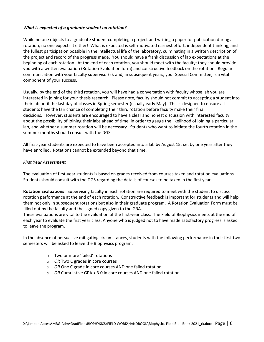## *What is expected of a graduate student on rotation?*

While no one objects to a graduate student completing a project and writing a paper for publication during a rotation, no one expects it either! What is expected is self-motivated earnest effort, independent thinking, and the fullest participation possible in the intellectual life of the laboratory, culminating in a written description of the project and record of the progress made. You should have a frank discussion of lab expectations at the beginning of each rotation. At the end of each rotation, you should meet with the faculty; they should provide you with a written evaluation (Rotation Evaluation form) and constructive feedback on the rotation. Regular communication with your faculty supervisor(s), and, in subsequent years, your Special Committee, is a vital component of your success.

Usually, by the end of the third rotation, you will have had a conversation with faculty whose lab you are interested in joining for your thesis research. Please note, faculty should not commit to accepting a student into their lab until the last day of classes in Spring semester (usually early May). This is designed to ensure all students have the fair chance of completing their third rotation before faculty make their final decisions. However, students are encouraged to have a clear and honest discussion with interested faculty about the possibility of joining their labs ahead of time, in order to gauge the likelihood of joining a particular lab, and whether a summer rotation will be necessary. Students who want to initiate the fourth rotation in the summer months should consult with the DGS.

All first-year students are expected to have been accepted into a lab by August 15, i.e. by one year after they have enrolled. Rotations cannot be extended beyond that time.

#### <span id="page-6-0"></span>*First Year Assessment*

The evaluation of first-year students is based on grades received from courses taken and rotation evaluations. Students should consult with the DGS regarding the details of courses to be taken in the first year.

**Rotation Evaluations**: Supervising faculty in each rotation are required to meet with the student to discuss rotation performance at the end of each rotation. Constructive feedback is important for students and will help them not only in subsequent rotations but also in their graduate program. A Rotation Evaluation Form must be filled out by the faculty and the signed copy given to the GRA.

These evaluations are vital to the evaluation of the first-year class. The Field of Biophysics meets at the end of each year to evaluate the first year class. Anyone who is judged not to have made satisfactory progress is asked to leave the program.

In the absence of persuasive mitigating circumstances, students with the following performance in their first two semesters will be asked to leave the Biophysics program:

- o Two or more 'failed' rotations
- o *OR* Two C grades in core courses
- o *OR* One C grade in core courses AND one failed rotation
- o *OR* Cumulative GPA < 3.0 in core courses AND one failed rotation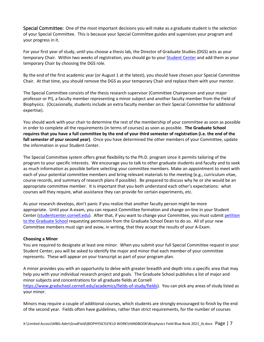<span id="page-7-0"></span>Special Committee**:** One of the most important decisions you will make as a graduate student is the selection of your Special Committee. This is because your Special Committee guides and supervises your program and your progress in it.

For your first year of study, until you choose a thesis lab, the Director of Graduate Studies (DGS) acts as your temporary Chair. Within two weeks of registration, you should go to your Student Center and add them as your temporary Chair by choosing the DGS role.

By the end of the first academic year (or August 1 at the latest), you should have chosen your Special Committee Chair. At that time, you should remove the DGS as your temporary Chair and replace them with your mentor.

The Special Committee consists of the thesis research supervisor (Committee Chairperson and your major professor or PI), a faculty member representing a minor subject and another faculty member from the Field of Biophysics. (Occasionally, students include an extra faculty member on their Special Committee for additional expertise).

You should work with your chair to determine the rest of the membership of your committee as soon as possible in order to complete all the requirements (in terms of courses) as soon as possible. **The Graduate School requires that you have a full committee by the end of your third semester of registration (i.e. the end of the fall semester of your second year)**. Once you have determined the other members of your Committee, update the information in your Student Center.

The Special Committee system offers great flexibility to the Ph.D. program since it permits tailoring of the program to your specific interests. We encourage you to talk to other graduate students and faculty and to seek as much information as possible before selecting your committee members. Make an appointment to meet with each of your potential committee members and bring relevant materials to the meeting (e.g., curriculum vitae, course records, and summary of research plans if possible). Be prepared to discuss why he or she would be an appropriate committee member. It is important that you both understand each other's expectations: what courses will they require, what assistance they can provide for certain experiments, etc.

As your research develops, don't panic if you realize that another faculty person might be more appropriate. Until your A-exam, you can request Committee formation and change on-line in your Student Center [\(studentcenter.cornell.edu\)](http://studentcenter.cornell.edu/). After that, if you want to change your Committee, you must submit petition [to the Graduate School](https://gradschool.cornell.edu/forms/) requesting permission from the Graduate School Dean to do so. All of your new Committee members must sign and avow, in writing, that they accept the results of your A-Exam.

## **Choosing a Minor**

You are required to designate at least one minor. When you submit your full Special Committee request in your Student Center, you will be asked to identify the major and minor that each member of your committee represents. These will appear on your transcript as part of your program plan.

A minor provides you with an opportunity to delve with greater breadth and depth into a specific area that may help you with your individual research project and goals. The Graduate School publishes a list of major and minor subjects and concentrations for all graduate fields at Cornell [https://www.gradschool.cornell.edu/academics/fields-of-study/fields\)](https://www.gradschool.cornell.edu/academics/fields-of-study/fields). You can pick any areas of study listed as your minor.

Minors may require a couple of additional courses, which students are strongly encouraged to finish by the end of the second year. Fields often have guidelines, rather than strict requirements, for the number of courses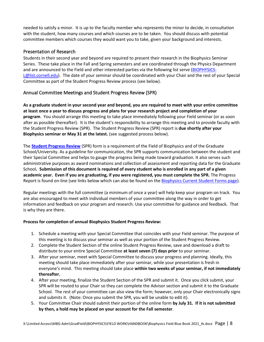needed to satisfy a minor. It is up to the faculty member who represents the minor to decide, in consultation with the student, how many courses and which courses are to be taken. You should discuss with potential committee members which courses they would want you to take, given your background and interests.

# <span id="page-8-0"></span>Presentation of Research

Students in their second year and beyond are required to present their research in the Biophysics Seminar Series. These take place in the Fall and Spring semesters and are coordinated through the Physics Department and are announced to the Field and other interested parties via the following list serve [\(BIOPHYSICS-](mailto:BIOPHYSICS-L@list.cornell.edu)[L@list.cornell.edu\)](mailto:BIOPHYSICS-L@list.cornell.edu). The date of your seminar should be coordinated with your Chair and the rest of your Special Committee as part of the Student Progress Review process (see below).

# <span id="page-8-1"></span>Annual Committee Meetings and Student Progress Review (SPR)

**As a graduate student in your second year and beyond, you are required to meet with your entire committee at least once a year to discuss progress and plans for your research project and completion of your program**. You should arrange this meeting to take place immediately following your Field seminar (or as soon after as possible thereafter). It is the student's responsibility to arrange this meeting and to provide faculty with the Student Progress Review (SPR). The Student Progress Review (SPR) report is **due shortly after your Biophysics seminar or May 31 at the latest.** (see suggested process below).

The **[Student Progress Review](https://gradschool.cornell.edu/academic-progress/requirements-milestones/student-progress-review/)** (SPR) form is a requirement of the Field of Biophysics and of the Graduate School/University. As a guideline for communication, the SPR supports communication between the student and their Special Committee and helps to gauge the progress being made toward graduation. It also serves such administrative purposes as award nominations and collection of assessment and reporting data for the Graduate School**. Submission of this document is required of every student who is enrolled in any part of a given academic year. Even if you are graduating, if you were registered, you must complete the SPR.** The Progress Report is found on-line (see links below which can also be found on th[e Biophysics Current Student Forms page\)](https://biophysics.cornell.edu/graduate-students/forms/).

Regular meetings with the full committee (a minimum of once a year) will help keep your program on track. You are also encouraged to meet with individual members of your committee along the way in order to get information and feedback on your program and research. Use your committee for guidance and feedback. That is why they are there.

# **Process for completion of annual Biophysics Student Progress Review:**

- 1. Schedule a meeting with your Special Committee that coincides with your Field seminar. The purpose of this meeting is to discuss your seminar as well as your portion of the Student Progress Review.
- 2. Complete the Student Section of the online Student Progress Review, save and download a draft to distribute to your entire Special Committee **at least seven (7) days prior** to your seminar.
- 3. After your seminar, meet with Special Committee to discuss your progress and planning. Ideally, this meeting should take place immediately after your seminar, while your presentation is fresh in everyone's mind. This meeting should take place **within two weeks of your seminar, if not immediately thereafter.**
- 4. After your meeting, finalize the Student Section of the SPR and submit it. Once you click submit, your SPR will be routed to your Chair so they can complete the Advisor section and submit it to the Graduate School. The rest of your committee can also view the form; however, only your Chair electronically signs and submits it. (Note: Once you submit the SPR, you will be unable to edit it).
- 5. Your Committee Chair should submit their portion of the online form **by July 31. If it is not submitted by then, a hold may be placed on your account for the Fall semester**.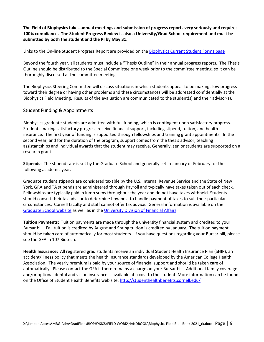**The Field of Biophysics takes annual meetings and submission of progress reports very seriously and requires 100% compliance. The Student Progress Review is also a University/Grad School requirement and must be submitted by both the student and the PI by May 31.**

Links to the On-line Student Progress Report are provided on the [Biophysics Current Student Forms page](https://biophysics.cornell.edu/graduate-students/forms/)

Beyond the fourth year, all students must include a "Thesis Outline" in their annual progress reports. The Thesis Outline should be distributed to the Special Committee one week prior to the committee meeting, so it can be thoroughly discussed at the committee meeting.

The Biophysics Steering Committee will discuss situations in which students appear to be making slow progress toward their degree or having other problems and these circumstances will be addressed confidentially at the Biophysics Field Meeting. Results of the evaluation are communicated to the student(s) and their advisor(s).

# <span id="page-9-0"></span>Student Funding & Appointments

Biophysics graduate students are admitted with full funding, which is contingent upon satisfactory progress. Students making satisfactory progress receive financial support, including stipend, tuition, and health insurance. The first year of funding is supported through fellowships and training grant appointments. In the second year, and for the duration of the program, support comes from the thesis advisor, teaching assistantships and individual awards that the student may receive. Generally, senior students are supported on a research grant

**Stipends:** The stipend rate is set by the Graduate School and generally set in January or February for the following academic year.

Graduate student stipends are considered taxable by the U.S. Internal Revenue Service and the State of New York. GRA and TA stipends are administered through Payroll and typically have taxes taken out of each check. Fellowships are typically paid in lump sums throughout the year and do not have taxes withheld. Students should consult their tax advisor to determine how best to handle payment of taxes to suit their particular circumstances. Cornell faculty and staff cannot offer tax advice. General information is available on the [Graduate School website](http://www.gradschool.cornell.edu/costs-and-funding/tax-information) as well as in the [University Division of Financial Affairs.](https://www.dfa.cornell.edu/tax)

**Tuition Payments:** Tuition payments are made through the university financial system and credited to your Bursar bill. Fall tuition is credited by August and Spring tuition is credited by January. The tuition payment should be taken care of automatically for most students. If you have questions regarding your Bursar bill, please see the GFA in 107 Biotech.

<span id="page-9-1"></span>**Health Insurance:** All registered grad students receive an individual Student Health Insurance Plan (SHIP), an accident/illness policy that meets the health insurance standards developed by the American College Health Association. The yearly premium is paid by your source of financial support and should be taken care of automatically. Please contact the GFA if there remains a charge on your Bursar bill. Additional family coverage and/or optional dental and vision insurance is available at a cost to the student. More information can be found on the Office of Student Health Benefits web site,<http://studenthealthbenefits.cornell.edu/>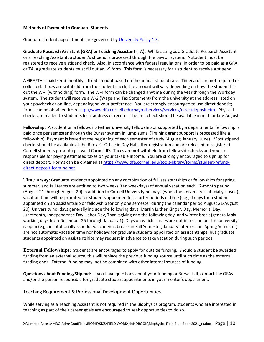## **Methods of Payment to Graduate Students**

Graduate student appointments are governed b[y University Policy 1.3.](https://www.dfa.cornell.edu/sites/default/files/policy/Volume%201.3%20Graduate%20Student%20Assistantships.pdf)

**Graduate Research Assistant (GRA) or Teaching Assistant (TA):** While acting as a Graduate Research Assistant or a Teaching Assistant, a student's stipend is processed through the payroll system. A student must be registered to receive a stipend check. Also, in accordance with federal regulations, in order to be paid as a GRA or TA, a graduate students must fill out an I-9 form. This form is necessary for a student to receive a stipend.

A GRA/TA is paid semi-monthly a fixed amount based on the annual stipend rate. Timecards are not required or collected. Taxes are withheld from the student check; the amount will vary depending on how the student fills out the W-4 (withholding) form. The W-4 form can be changed anytime during the year through the Workday system. The student will receive a W-2 (Wage and Tax Statement) from the university at the address listed on your paycheck or on-line, depending on your preference. You are strongly encouraged to use direct deposit; forms can be obtained from [http://www.dfa.cornell.edu/payrollservices/services/directdeposit.cfm.](http://www.dfa.cornell.edu/payrollservices/services/directdeposit.cfm) Physical checks are mailed to student's local address of record. The first check should be available in mid- or late August.

**Fellowship:** A student on a fellowship (either university fellowship or supported by a departmental fellowship is paid once per semester through the Bursar system in lump sums. (Training grant support is processed like a fellowship). Payment is issued at the beginning of each semester of study (August; January; June). Most stipend checks should be available at the Bursar's Office in Day Hall after registration and are released to registered Cornell students presenting a valid Cornell ID. Taxes **are not** withheld from fellowship checks and you are responsible for paying estimated taxes on your taxable income. You are strongly encouraged to sign up for direct deposit. Forms can be obtained a[t https://www.dfa.cornell.edu/tools-library/forms/student-refund](https://www.dfa.cornell.edu/tools-library/forms/student-refund-direct-deposit-form-nelnet)[direct-deposit-form-nelnet.](https://www.dfa.cornell.edu/tools-library/forms/student-refund-direct-deposit-form-nelnet)

<span id="page-10-0"></span>**Time Away:** Graduate students appointed on any combination of full assistantships or fellowships for spring, summer, and fall terms are entitled to two weeks (ten weekdays) of annual vacation each 12-month period (August 21 through August 20) in addition to Cornell University holidays (when the university is officially closed); vacation time will be prorated for students appointed for shorter periods of time (e.g., 4 days for a student appointed on an assistantship or fellowship for only one semester during the calendar period August 21-August 20). University holidays generally include the following days: Martin Luther King Jr. Day, Memorial Day, Juneteenth, Independence Day, Labor Day, Thanksgiving and the following day, and winter break (generally six working days from December 25 through January 1). Days on which classes are not in session but the university is open (e.g., institutionally-scheduled academic breaks in Fall Semester, January intersession, Spring Semester) are not automatic vacation time nor holidays for graduate students appointed on assistantships, but graduate students appointed on assistantships may request in advance to take vacation during such periods.

<span id="page-10-1"></span>**External Fellowships**: Students are encouraged to apply for outside funding. Should a student be awarded funding from an external source, this will replace the previous funding source until such time as the external funding ends. External funding may not be combined with other internal sources of funding.

**Questions about Funding/Stipend**: If you have questions about your funding or Bursar bill, contact the GFAs and/or the person responsible for graduate student appointments in your mentor's department.

## <span id="page-10-2"></span>Teaching Requirement & Professional Development Opportunities

While serving as a Teaching Assistant is not required in the Biophysics program, students who are interested in teaching as part of their career goals are encouraged to seek opportunities to do so.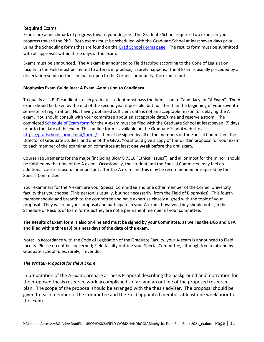# <span id="page-11-0"></span>Required Exams

Exams are a benchmark of progress toward your degree. The Graduate School requires two exams in your progress toward the PhD. Both exams must be scheduled with the Graduate School at least seven days prior using the Scheduling forms that are found on th[e Grad School Forms page.](https://gradschool.cornell.edu/forms/) The results form must be submitted with all approvals within three days of the exam.

Exams must be announced. The A exam is announced to Field faculty; according to the Code of Legislation, faculty in the Field must be invited to attend, in practice, it rarely happens. The B Exam is usually preceded by a dissertation seminar; the seminar is open to the Cornell community, the exam is not.

# <span id="page-11-1"></span>**Biophysics Exam Guidelines: A Exam -Admission to Candidacy**

To qualify as a PhD candidate, each graduate student must pass the Admission to Candidacy, or "A Exam". The A exam should be taken by the end of the second year if possible, but no later than the beginning of your seventh semester of registration. Not having obtained sufficient data is not an acceptable reason for delaying the A exam. You should consult with your committee about an acceptable date/time and reserve a room. The complete[d Schedule of Exam form](http://www.gradschool.cornell.edu/?p=11) for the A-exam must be filed with the Graduate School at least seven (7) days prior to the date of the exam. This on-line form is available on the Graduate School web site at [https://gradschool.cornell.edu/forms/.](https://gradschool.cornell.edu/forms/) It must be signed by all of the members of the Special Committee, the Director of Graduate Studies, and one of the GFAs. You should give a copy of the written proposal for your exam to each member of the examination committee at least **one week before** the oral exam.

Course requirements for the major (including BioMG 7510 "Ethical Issues"), and all or most for the minor, should be finished by the time of the A exam. Occasionally, the student and the Special Committee may feel an additional course is useful or important after the A exam and this may be recommended or required by the Special Committee.

Your examiners for the A exam are your Special Committee and one other member of the Cornell University faculty that you choose. (This person is usually, but not necessarily, from the Field of Biophysics). This fourth member should add breadth to the committee and have expertise closely aligned with the topic of your proposal. They will read your proposal and participate in your A-exam, however, they should not sign the Schedule or Results of Exam forms as they are not a permanent member of your committee.

# **The Results of Exam form is also on-line and must be signed by your Committee, as well as the DGS and GFA and filed within three (3) business days of the date of the exam.**

Note: In accordance with the Code of Legislation of the Graduate Faculty, your A-exam is announced to Field faculty. Please do not be concerned; Field faculty outside your Special Committee, although free to attend by Graduate School rules, rarely, if ever do.

## <span id="page-11-2"></span>*The Written Proposal for the A Exam*

In preparation of the A Exam, prepare a Thesis Proposal describing the background and motivation for the proposed thesis research, work accomplished so far, and an outline of the proposed research plan. The scope of the proposal should be arranged with the thesis adviser. The proposal should be given to each member of the Committee and the Field appointed member at least one week prior to the exam.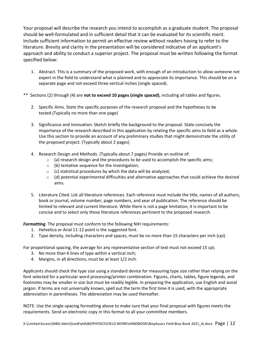Your proposal will describe the research you intend to accomplish as a graduate student. The proposal should be well-formulated and in sufficient detail that it can be evaluated for its scientific merit. Include sufficient information to permit an effective review without readers having to refer to the literature. Brevity and clarity in the presentation will be considered indicative of an applicant's approach and ability to conduct a superior project. The proposal must be written following the format specified below:

- 1. Abstract. This is a summary of the proposed work, with enough of an introduction to allow someone not expert in the field to understand what is planned and to appreciate its importance. This should be on a separate page and not exceed three vertical inches (single spaced).
- \*\* Sections (2) through (4) are **not to exceed 10 pages (single spaced)**, including all tables and figures.
	- 2. Specific Aims. State the specific purposes of the research proposal and the hypotheses to be tested.(Typically no more than one page)
	- 3. Significance and Innovation. Sketch briefly the background to the proposal. State concisely the importance of the research described in this application by relating the specific aims to field as a whole. Use this section to provide an account of any preliminary studies that might demonstrate the utility of the proposed project. (Typically about 2 pages)
	- 4. Research Design and Methods. (Typically about 7 pages) Provide an outline of:
		- $\circ$  (a) research design and the procedures to be used to accomplish the specific aims;
		- $\circ$  (b) tentative sequence for the investigation;
		- $\circ$  (c) statistical procedures by which the data will be analyzed;
		- $\circ$  (d) potential experimental difficulties and alternative approaches that could achieve the desired aims.
	- 5. Literature Cited. List all literature references. Each reference must include the title, names of all authors, book or journal, volume number, page numbers, and year of publication. The reference should be limited to relevant and current literature. While there is not a page limitation, it is important to be concise and to select only those literature references pertinent to the proposed research.

<span id="page-12-0"></span>*Formatting*. The proposal must conform to the following NIH requirements:

- 1. Helvetica or Arial 11-12 point is the suggested font.
- 2. Type density, including characters and spaces, must be no more than 15 characters per inch (cpi).

For proportional spacing, the average for any representative section of text must not exceed 15 cpi;

- 3. No more than 6 lines of type within a vertical inch;
- 4. Margins, in all directions, must be at least 1/2 inch.

Applicants should check the type size using a standard device for measuring type size rather than relying on the font selected for a particular word processing/printer combination. Figures, charts, tables, figure legends, and footnotes may be smaller in size but must be readily legible. In preparing the application, use English and avoid jargon. If terms are not universally known, spell out the term the first time it is used, with the appropriate abbreviation in parentheses. The abbreviation may be used thereafter.

NOTE: Use the single-spacing formatting above to make sure that your final proposal with figures meets the requirements. Send an electronic copy in this format to all your committee members.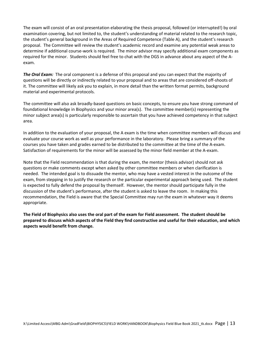The exam will consist of an oral presentation elaborating the thesis proposal, followed (or interrupted!) by oral examination covering, but not limited to, the student's understanding of material related to the research topic, the student's general background in the Areas of Required Competence (Table A), and the student's research proposal. The Committee will review the student's academic record and examine any potential weak areas to determine if additional course-work is required. The minor advisor may specify additional exam components as required for the minor. Students should feel free to chat with the DGS in advance about any aspect of the Aexam.

<span id="page-13-0"></span>*The Oral Exam:* The oral component is a defense of this proposal and you can expect that the majority of questions will be directly or indirectly related to your proposal and to areas that are considered off-shoots of it. The committee will likely ask you to explain, in more detail than the written format permits, background material and experimental protocols.

The committee will also ask broadly-based questions on basic concepts, to ensure you have strong command of foundational knowledge in Biophysics and your minor area(s). The committee member(s) representing the minor subject area(s) is particularly responsible to ascertain that you have achieved competency in that subject area.

In addition to the evaluation of your proposal, the A exam is the time when committee members will discuss and evaluate your course work as well as your performance in the laboratory. Please bring a summary of the courses you have taken and grades earned to be distributed to the committee at the time of the A-exam. Satisfaction of requirements for the minor will be assessed by the minor field member at the A-exam.

Note that the Field recommendation is that during the exam, the mentor (thesis advisor) should not ask questions or make comments except when asked by other committee members or when clarification is needed. The intended goal is to dissuade the mentor, who may have a vested interest in the outcome of the exam, from stepping in to justify the research or the particular experimental approach being used. The student is expected to fully defend the proposal by themself. However, the mentor should participate fully in the discussion of the student's performance, after the student is asked to leave the room. In making this recommendation, the Field is aware that the Special Committee may run the exam in whatever way it deems appropriate.

**The Field of Biophysics also uses the oral part of the exam for Field assessment. The student should be prepared to discuss which aspects of the Field they find constructive and useful for their education, and which aspects would benefit from change.**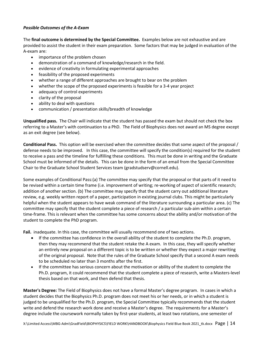# <span id="page-14-0"></span>*Possible Outcomes of the A-Exam*

The **final outcome is determined by the Special Committee.** Examples below are not exhaustive and are provided to assist the student in their exam preparation. Some factors that may be judged in evaluation of the A-exam are:

- importance of the problem chosen
- demonstration of a command of knowledge/research in the field.
- evidence of creativity in formulating experimental approaches
- feasibility of the proposed experiments
- whether a range of different approaches are brought to bear on the problem
- whether the scope of the proposed experiments is feasible for a 3-4 year project
- adequacy of control experiments
- clarity of the proposal
- ability to deal with questions
- communication / presentation skills/breadth of knowledge

**Unqualified pass.** The Chair will indicate that the student has passed the exam but should not check the box referring to a Master's with continuation to a PhD. The Field of Biophysics does not award an MS degree except as an exit degree (see below).

**Conditional Pass.** This option will be exercised when the committee decides that some aspect of the proposal / defense needs to be improved. In this case, the committee will specify the condition(s) required for the student to receive a pass and the timeline for fulfilling these conditions. This must be done in writing and the Graduate School must be informed of the details. This can be done in the form of an email from the Special Committee Chair to the Graduate School Student Services team (gradstudserv@cornell.edu).

Some examples of Conditional Pass:(a) The committee may specify that the proposal or that parts of it need to be revised within a certain time frame (i.e. improvement of writing; re-working of aspect of scientific research; addition of another section. (b) The committee may specify that the student carry out additional literature review, e.g. weekly written report of a paper, participation in existing journal clubs. This might be particularly helpful when the student appears to have weak command of the literature surrounding a particular area. (c) The committee may specify that the student complete a piece of research / a particular sub-aim within a certain time-frame. This is relevant when the committee has some concerns about the ability and/or motivation of the student to complete the PhD program.

**Fail.** inadequate. In this case, the committee will usually recommend one of two actions.

- If the committee has confidence in the overall ability of the student to complete the Ph.D. program, then they may recommend that the student retake the A exam. In this case, they will specify whether an entirely new proposal on a different topic is to be written or whether they expect a major rewriting of the original proposal. Note that the rules of the Graduate School specify that a second A exam needs to be scheduled no later than 3 months after the first.
- If the committee has serious concern about the motivation or ability of the student to complete the Ph.D. program, it could recommend that the student complete a piece of research, write a Masters-level thesis based on that work, and then defend that thesis.

**Master's Degree:** The Field of Biophysics does not have a formal Master's degree program. In cases in which a student decides that the Biophysics Ph.D. program does not meet his or her needs, or in which a student is judged to be unqualified for the Ph.D. program, the Special Committee typically recommends that the student write and defend the research work done and receive a Master's degree. The requirements for a Master's degree include the coursework normally taken by first-year students, at least two rotations, one semester of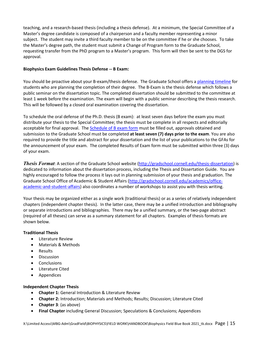teaching, and a research-based thesis (including a thesis defense). At a minimum, the Special Committee of a Master's degree candidate is composed of a chairperson and a faculty member representing a minor subject. The student may invite a third faculty member to be on the committee if he or she chooses. To take the Master's degree path, the student must submit a Change of Program form to the Graduate School, requesting transfer from the PhD program to a Master's program. This form will then be sent to the DGS for approval.

# <span id="page-15-0"></span>**Biophysics Exam Guidelines Thesis Defense -- B Exam:**

You should be proactive about your B-exam/thesis defense. The Graduate School offers a planning timeline for students who are planning the completion of their degree. The B-Exam is the thesis defense which follows a public seminar on the dissertation topic. The completed dissertation should be submitted to the committee at least 1 week before the examination. The exam will begin with a public seminar describing the thesis research. This will be followed by a closed oral examination covering the dissertation.

To schedule the oral defense of the Ph.D. thesis (B exam): at least seven days before the exam you must distribute your thesis to the Special Committee; the thesis must be complete in all respects and editorially acceptable for final approval. The Schedule of B exam form must be filled out, approvals obtained and submission to the Graduate School must be completed **at least seven (7) days prior to the exam**. You are also required to provide the title and abstract for your dissertation and the list of your publications to the GFAs for the announcement of your exam. The completed Results of Exam form must be submitted within three (3) days of your exam.

<span id="page-15-1"></span>*Thesis Format*: A section of the Graduate School website (http://gradschool.cornell.edu/thesis-dissertation) is dedicated to information about the dissertation process, including the Thesis and Dissertation Guide. You are highly encouraged to follow the process it lays out in planning submission of your thesis and graduation. The Graduate School Office of Academic & Student Affairs (http://gradschool.cornell.edu/academics/officeacademic-and-student-affairs) also coordinates a number of workshops to assist you with thesis writing.

Your thesis may be organized either as a single work (traditional thesis) or as a series of relatively independent chapters (independent chapter thesis). In the latter case, there may be a unified introduction and bibliography or separate introductions and bibliographies. There may be a unified summary, or the two-page abstract (required of all theses) can serve as a summary statement for all chapters. Examples of thesis formats are shown below.

## **Traditional Thesis**

- Literature Review
- Materials & Methods
- Results
- Discussion
- Conclusions
- Literature Cited
- Appendices

## **Independent Chapter Thesis**

- **Chapter 1:** General Introduction & Literature Review
- **Chapter 2:** Introduction; Materials and Methods; Results; Discussion; Literature Cited
- **Chapter 3**: (as above)
- **Final Chapter** including General Discussion; Speculations & Conclusions; Appendices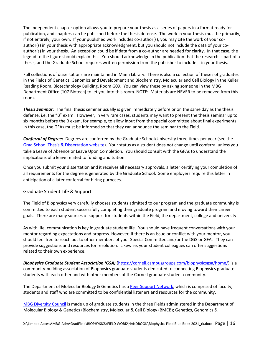The independent chapter option allows you to prepare your thesis as a series of papers in a format ready for publication, and chapters can be published before the thesis defense. The work in your thesis must be primarily, if not entirely, your own. If your published work includes co-author(s), you may cite the work of your coauthor(s) in your thesis with appropriate acknowledgment, but you should not include the data of your coauthor(s) in your thesis. An exception could be if data from a co-author are needed for clarity. In that case, the legend to the figure should explain this. You should acknowledge in the publication that the research is part of a thesis, and the Graduate School requires written permission from the publisher to include it in your thesis.

Full collections of dissertations are maintained in Mann Library. There is also a collection of theses of graduates in the Fields of Genetics, Genomics and Development and Biochemistry, Molecular and Cell Biology in the Keller Reading Room, Biotechnology Building, Room G09. You can view these by asking someone in the MBG Department Office (107 Biotech) to let you into this room. NOTE: Materials are NEVER to be removed from this room.

<span id="page-16-0"></span>*Thesis Seminar*: The final thesis seminar usually is given immediately before or on the same day as the thesis defense, i.e. the "B" exam. However, in very rare cases, students may want to present the thesis seminar up to six months before the B exam, for example, to allow input from the special committee about final experiments. In this case, the GFAs must be informed so that they can announce the seminar to the Field.

<span id="page-16-1"></span>*Conferral of Degree:*Degrees are conferred by the Graduate School/University three times per year (see the Grad School Thesis & Dissertation website). Your status as a student does not change until conferral unless you take a Leave of Absence or Leave Upon Completion. You should consult with the GFAs to understand the implications of a leave related to funding and tuition.

Once you submit your dissertation and it receives all necessary approvals, a letter certifying your completion of all requirements for the degree is generated by the Graduate School. Some employers require this letter in anticipation of a later conferral for hiring purposes.

# <span id="page-16-2"></span>Graduate Student Life & Support

The Field of Biophysics very carefully chooses students admitted to our program and the graduate community is committed to each student successfully completing their graduate program and moving toward their career goals. There are many sources of support for students within the Field, the department, college and university.

As with life, communication is key in graduate student life. You should have frequent conversations with your mentor regarding expectations and progress. However, if there is an issue or conflict with your mentor, you should feel free to reach out to other members of your Special Committee and/or the DGS or GFAs. They can provide suggestions and resources for resolution. Likewise, your student colleagues can offer suggestions related to their own experience.

*Biophysics Graduate Student Association (GSA)* (https://cornell.campusgroups.com/biophysicsgsa/home/) is a community-building association of Biophysics graduate students dedicated to connecting Biophysics graduate students with each other and with other members of the Cornell graduate student community.

The Department of Molecular Biology & Genetics has a Peer Support Network, which is comprised of faculty, students and staff who are committed to be confidential listeners and resources for the community.

MBG Diversity Council is made up of graduate students in the three Fields administered in the Department of Molecular Biology & Genetics (Biochemistry, Molecular & Cell Biology (BMCB); Genetics, Genomics &